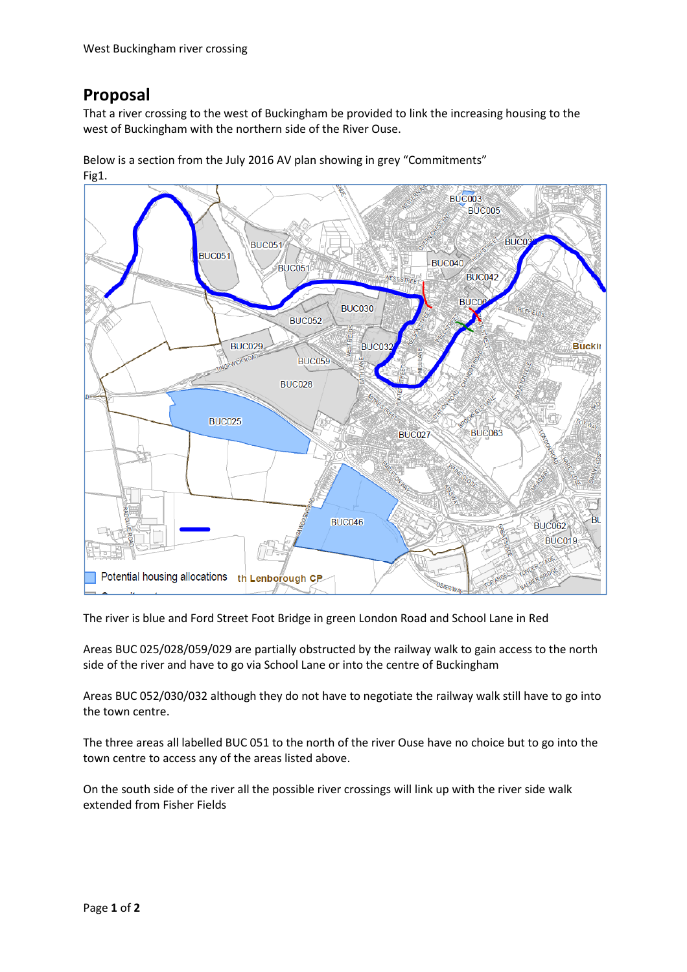## **Proposal**

That a river crossing to the west of Buckingham be provided to link the increasing housing to the west of Buckingham with the northern side of the River Ouse.

Below is a section from the July 2016 AV plan showing in grey "Commitments"

Fig1. **BUC003 BUC005 BUC BUC051 BUC051 BUC040 BUC051 BUC042 BUC06 BUC030 BUC052 BUC029** BUC<sub>0</sub> **Buckii BUC059 BUC028 BUC025 BUC063 BUC027 BUC046** Bl **BUC062 BUC019** Potential housing allocations th Lenborough CP The river is blue and Ford Street Foot Bridge in green London Road and School Lane in Red

Areas BUC 025/028/059/029 are partially obstructed by the railway walk to gain access to the north side of the river and have to go via School Lane or into the centre of Buckingham

Areas BUC 052/030/032 although they do not have to negotiate the railway walk still have to go into the town centre.

The three areas all labelled BUC 051 to the north of the river Ouse have no choice but to go into the town centre to access any of the areas listed above.

On the south side of the river all the possible river crossings will link up with the river side walk extended from Fisher Fields